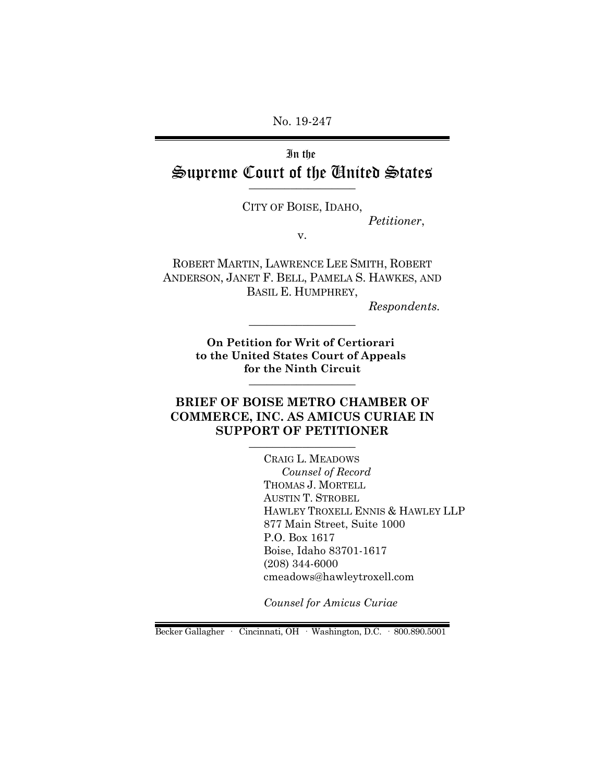No. 19-247

# In the Supreme Court of the United States

CITY OF BOISE, IDAHO, *Petitioner*,

v.

ROBERT MARTIN, LAWRENCE LEE SMITH, ROBERT ANDERSON, JANET F. BELL, PAMELA S. HAWKES, AND BASIL E. HUMPHREY,

*Respondents.*

**On Petition for Writ of Certiorari to the United States Court of Appeals for the Ninth Circuit** \_\_\_\_\_\_\_\_\_\_\_\_\_\_\_\_\_\_

\_\_\_\_\_\_\_\_\_\_\_\_\_\_\_\_\_\_

### **BRIEF OF BOISE METRO CHAMBER OF COMMERCE, INC. AS AMICUS CURIAE IN SUPPORT OF PETITIONER**

CRAIG L. MEADOWS *Counsel of Record* THOMAS J. MORTELL AUSTIN T. STROBEL HAWLEY TROXELL ENNIS & HAWLEY LLP 877 Main Street, Suite 1000 P.O. Box 1617 Boise, Idaho 83701-1617 (208) 344-6000 cmeadows@hawleytroxell.com

*Counsel for Amicus Curiae* 

Becker Gallagher · Cincinnati, OH · Washington, D.C. · 800.890.5001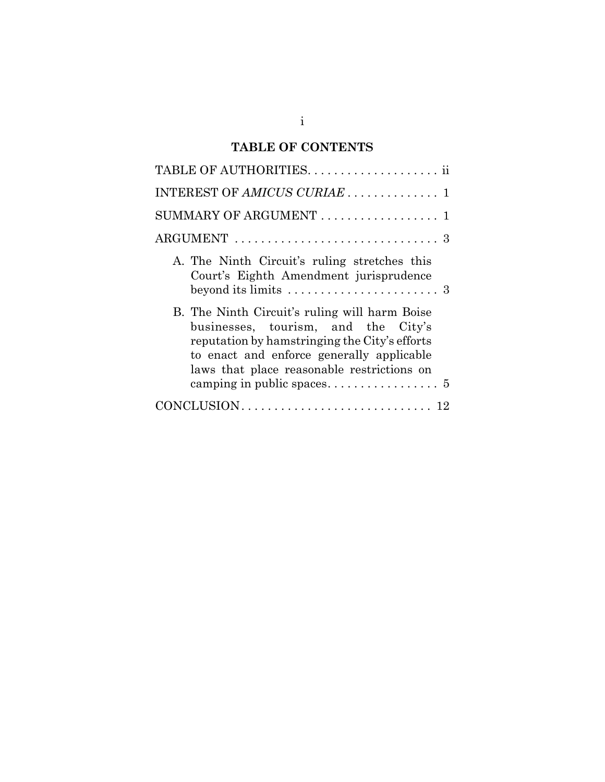# **TABLE OF CONTENTS**

| INTEREST OF AMICUS CURIAE  1                                                                                                                                                                                                     |
|----------------------------------------------------------------------------------------------------------------------------------------------------------------------------------------------------------------------------------|
| SUMMARY OF ARGUMENT  1                                                                                                                                                                                                           |
|                                                                                                                                                                                                                                  |
| A. The Ninth Circuit's ruling stretches this<br>Court's Eighth Amendment jurisprudence<br>beyond its limits $\dots \dots \dots \dots \dots \dots \dots \dots$                                                                    |
| B. The Ninth Circuit's ruling will harm Boise<br>businesses, tourism, and the City's<br>reputation by hamstringing the City's efforts<br>to enact and enforce generally applicable<br>laws that place reasonable restrictions on |
|                                                                                                                                                                                                                                  |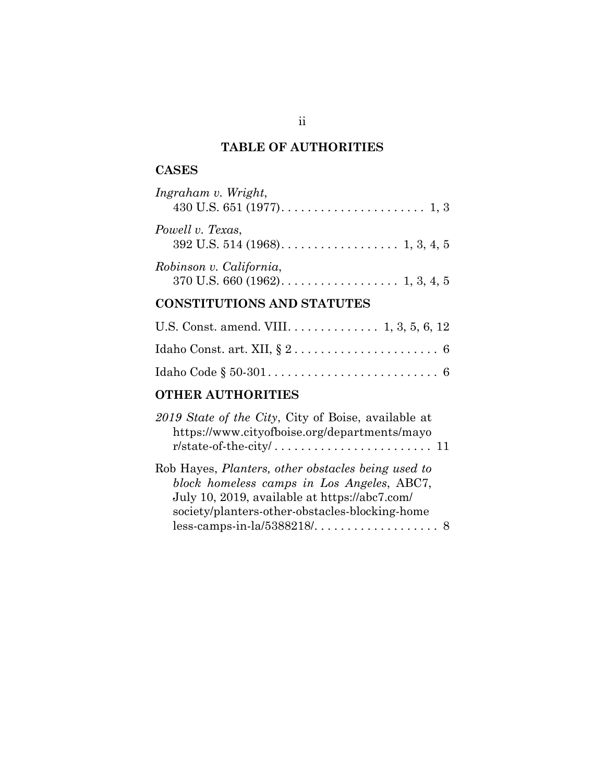# **TABLE OF AUTHORITIES**

### **CASES**

| Ingraham v. Wright,     |
|-------------------------|
| Powell v. Texas,        |
| Robinson v. California, |

# **CONSTITUTIONS AND STATUTES**

| U.S. Const. amend. VIII. $\dots \dots \dots \dots 1, 3, 5, 6, 12$ |  |
|-------------------------------------------------------------------|--|
|                                                                   |  |
|                                                                   |  |

### **OTHER AUTHORITIES**

| 2019 State of the City, City of Boise, available at |  |
|-----------------------------------------------------|--|
| https://www.cityofboise.org/departments/mayo        |  |
|                                                     |  |
| Rob Hayes, Planters, other obstacles being used to  |  |
| block homeless camps in Los Angeles, ABC7,          |  |
| July 10, 2019, available at https://abc7.com/       |  |
| society/planters-other-obstacles-blocking-home      |  |
|                                                     |  |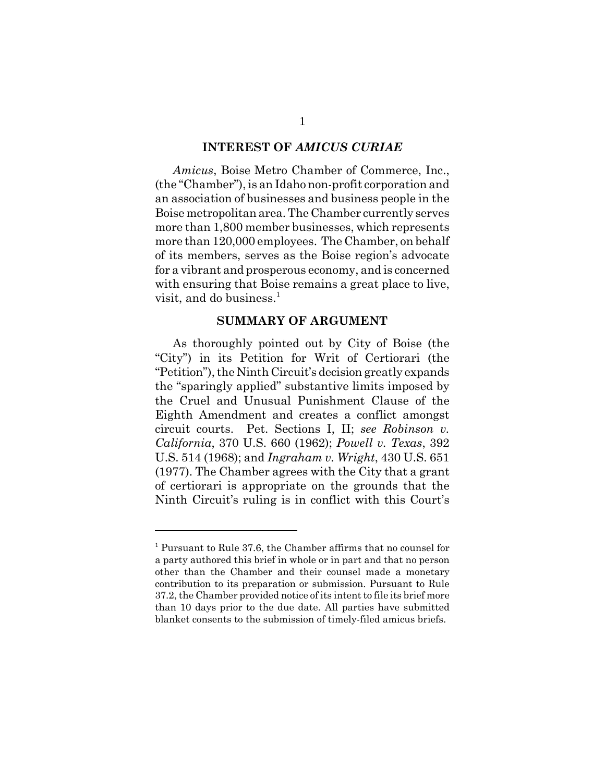#### **INTEREST OF** *AMICUS CURIAE*

*Amicus*, Boise Metro Chamber of Commerce, Inc., (the "Chamber"), is an Idaho non-profit corporation and an association of businesses and business people in the Boise metropolitan area. The Chamber currently serves more than 1,800 member businesses, which represents more than 120,000 employees. The Chamber, on behalf of its members, serves as the Boise region's advocate for a vibrant and prosperous economy, and is concerned with ensuring that Boise remains a great place to live, visit, and do business. $<sup>1</sup>$ </sup>

#### **SUMMARY OF ARGUMENT**

As thoroughly pointed out by City of Boise (the "City") in its Petition for Writ of Certiorari (the "Petition"), the Ninth Circuit's decision greatly expands the "sparingly applied" substantive limits imposed by the Cruel and Unusual Punishment Clause of the Eighth Amendment and creates a conflict amongst circuit courts. Pet. Sections I, II; *see Robinson v. California*, 370 U.S. 660 (1962); *Powell v. Texas*, 392 U.S. 514 (1968); and *Ingraham v. Wright*, 430 U.S. 651 (1977). The Chamber agrees with the City that a grant of certiorari is appropriate on the grounds that the Ninth Circuit's ruling is in conflict with this Court's

<sup>&</sup>lt;sup>1</sup> Pursuant to Rule 37.6, the Chamber affirms that no counsel for a party authored this brief in whole or in part and that no person other than the Chamber and their counsel made a monetary contribution to its preparation or submission. Pursuant to Rule 37.2, the Chamber provided notice of its intent to file its brief more than 10 days prior to the due date. All parties have submitted blanket consents to the submission of timely-filed amicus briefs.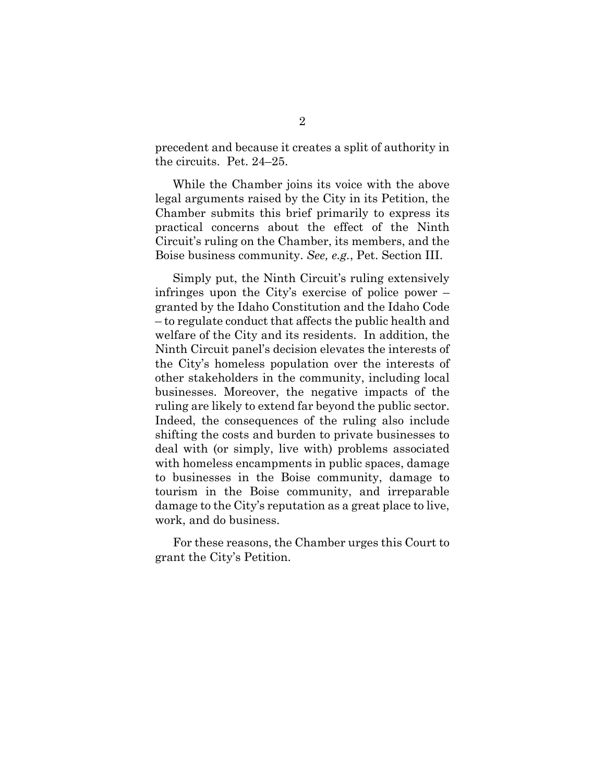precedent and because it creates a split of authority in the circuits. Pet. 24–25.

While the Chamber joins its voice with the above legal arguments raised by the City in its Petition, the Chamber submits this brief primarily to express its practical concerns about the effect of the Ninth Circuit's ruling on the Chamber, its members, and the Boise business community. *See, e.g.*, Pet. Section III.

Simply put, the Ninth Circuit's ruling extensively infringes upon the City's exercise of police power – granted by the Idaho Constitution and the Idaho Code – to regulate conduct that affects the public health and welfare of the City and its residents. In addition, the Ninth Circuit panel's decision elevates the interests of the City's homeless population over the interests of other stakeholders in the community, including local businesses. Moreover, the negative impacts of the ruling are likely to extend far beyond the public sector. Indeed, the consequences of the ruling also include shifting the costs and burden to private businesses to deal with (or simply, live with) problems associated with homeless encampments in public spaces, damage to businesses in the Boise community, damage to tourism in the Boise community, and irreparable damage to the City's reputation as a great place to live, work, and do business.

For these reasons, the Chamber urges this Court to grant the City's Petition.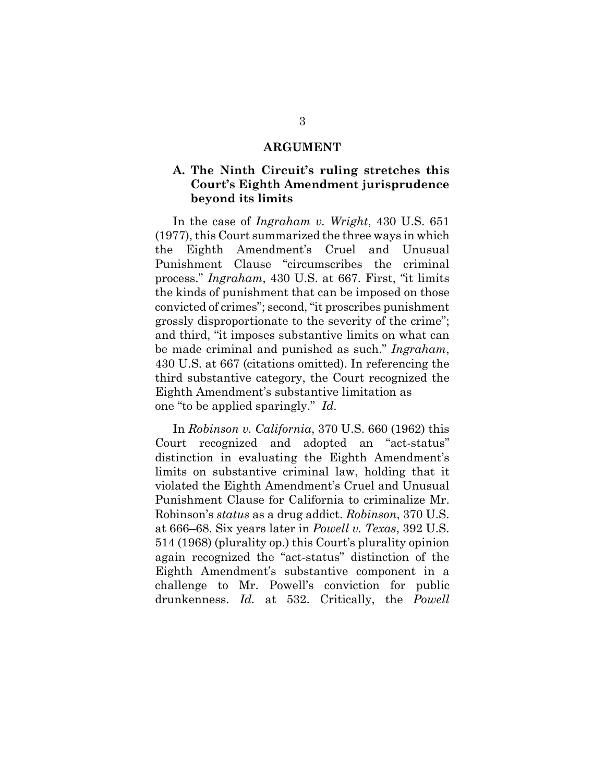#### **ARGUMENT**

#### **A. The Ninth Circuit's ruling stretches this Court's Eighth Amendment jurisprudence beyond its limits**

In the case of *Ingraham v. Wright*, 430 U.S. 651 (1977), this Court summarized the three ways in which the Eighth Amendment's Cruel and Unusual Punishment Clause "circumscribes the criminal process." *Ingraham*, 430 U.S. at 667. First, "it limits the kinds of punishment that can be imposed on those convicted of crimes"; second, "it proscribes punishment grossly disproportionate to the severity of the crime"; and third, "it imposes substantive limits on what can be made criminal and punished as such." *Ingraham*, 430 U.S. at 667 (citations omitted). In referencing the third substantive category, the Court recognized the Eighth Amendment's substantive limitation as one "to be applied sparingly." *Id.*

In *Robinson v. California*, 370 U.S. 660 (1962) this Court recognized and adopted an "act-status" distinction in evaluating the Eighth Amendment's limits on substantive criminal law, holding that it violated the Eighth Amendment's Cruel and Unusual Punishment Clause for California to criminalize Mr. Robinson's *status* as a drug addict. *Robinson*, 370 U.S. at 666–68. Six years later in *Powell v. Texas*, 392 U.S. 514 (1968) (plurality op.) this Court's plurality opinion again recognized the "act-status" distinction of the Eighth Amendment's substantive component in a challenge to Mr. Powell's conviction for public drunkenness. *Id.* at 532. Critically, the *Powell*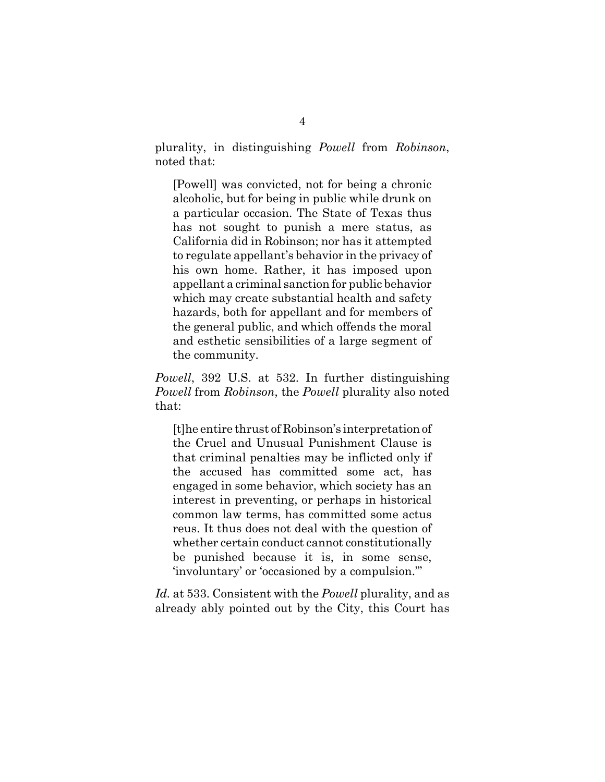plurality, in distinguishing *Powell* from *Robinson*, noted that:

[Powell] was convicted, not for being a chronic alcoholic, but for being in public while drunk on a particular occasion. The State of Texas thus has not sought to punish a mere status, as California did in Robinson; nor has it attempted to regulate appellant's behavior in the privacy of his own home. Rather, it has imposed upon appellant a criminal sanction for public behavior which may create substantial health and safety hazards, both for appellant and for members of the general public, and which offends the moral and esthetic sensibilities of a large segment of the community.

*Powell*, 392 U.S. at 532. In further distinguishing *Powell* from *Robinson*, the *Powell* plurality also noted that:

[t]he entire thrust of Robinson's interpretation of the Cruel and Unusual Punishment Clause is that criminal penalties may be inflicted only if the accused has committed some act, has engaged in some behavior, which society has an interest in preventing, or perhaps in historical common law terms, has committed some actus reus. It thus does not deal with the question of whether certain conduct cannot constitutionally be punished because it is, in some sense, 'involuntary' or 'occasioned by a compulsion.'"

*Id.* at 533. Consistent with the *Powell* plurality, and as already ably pointed out by the City, this Court has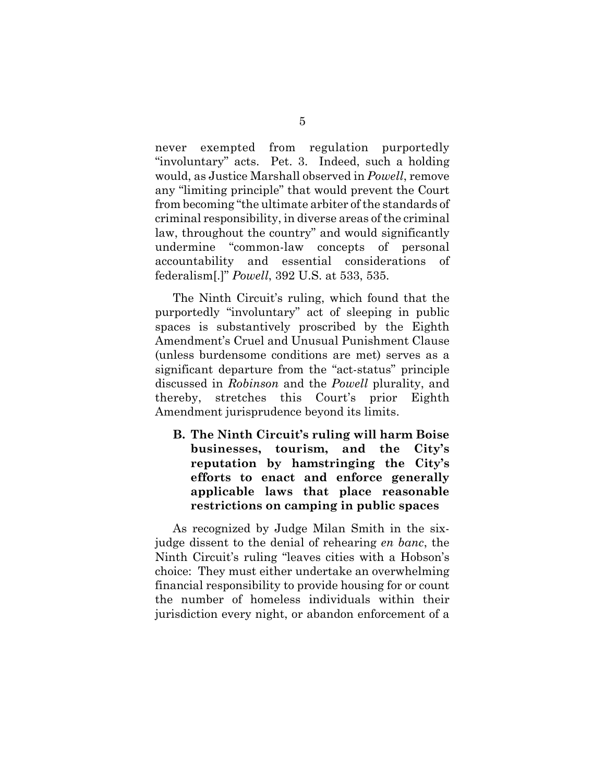never exempted from regulation purportedly "involuntary" acts. Pet. 3. Indeed, such a holding would, as Justice Marshall observed in *Powell*, remove any "limiting principle" that would prevent the Court from becoming "the ultimate arbiter of the standards of criminal responsibility, in diverse areas of the criminal law, throughout the country" and would significantly undermine "common-law concepts of personal accountability and essential considerations of federalism[.]" *Powell*, 392 U.S. at 533, 535.

The Ninth Circuit's ruling, which found that the purportedly "involuntary" act of sleeping in public spaces is substantively proscribed by the Eighth Amendment's Cruel and Unusual Punishment Clause (unless burdensome conditions are met) serves as a significant departure from the "act-status" principle discussed in *Robinson* and the *Powell* plurality, and thereby, stretches this Court's prior Eighth Amendment jurisprudence beyond its limits.

**B. The Ninth Circuit's ruling will harm Boise businesses, tourism, and the City's reputation by hamstringing the City's efforts to enact and enforce generally applicable laws that place reasonable restrictions on camping in public spaces**

As recognized by Judge Milan Smith in the sixjudge dissent to the denial of rehearing *en banc*, the Ninth Circuit's ruling "leaves cities with a Hobson's choice: They must either undertake an overwhelming financial responsibility to provide housing for or count the number of homeless individuals within their jurisdiction every night, or abandon enforcement of a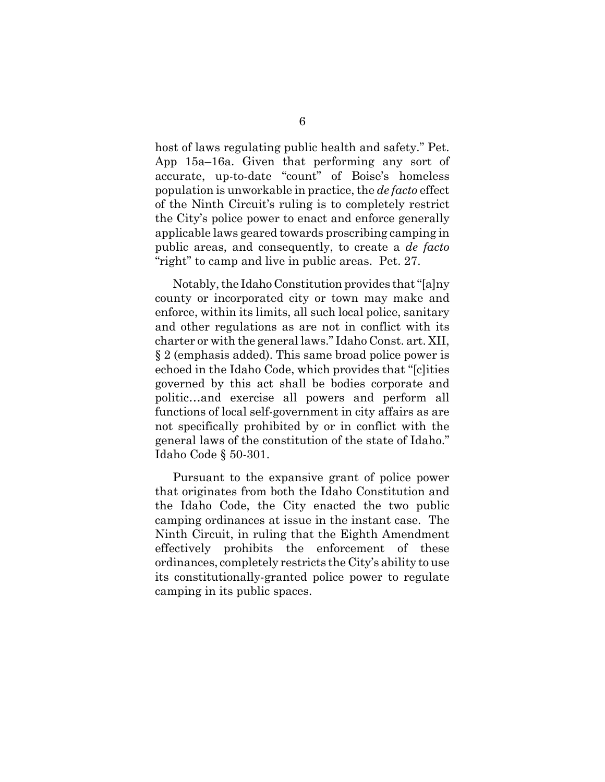host of laws regulating public health and safety." Pet. App 15a–16a. Given that performing any sort of accurate, up-to-date "count" of Boise's homeless population is unworkable in practice, the *de facto* effect of the Ninth Circuit's ruling is to completely restrict the City's police power to enact and enforce generally applicable laws geared towards proscribing camping in public areas, and consequently, to create a *de facto* "right" to camp and live in public areas. Pet. 27.

Notably, the Idaho Constitution provides that "[a]ny county or incorporated city or town may make and enforce, within its limits, all such local police, sanitary and other regulations as are not in conflict with its charter or with the general laws." Idaho Const. art. XII, § 2 (emphasis added). This same broad police power is echoed in the Idaho Code, which provides that "[c]ities governed by this act shall be bodies corporate and politic…and exercise all powers and perform all functions of local self-government in city affairs as are not specifically prohibited by or in conflict with the general laws of the constitution of the state of Idaho." Idaho Code § 50-301.

Pursuant to the expansive grant of police power that originates from both the Idaho Constitution and the Idaho Code, the City enacted the two public camping ordinances at issue in the instant case. The Ninth Circuit, in ruling that the Eighth Amendment effectively prohibits the enforcement of these ordinances, completely restricts the City's ability to use its constitutionally-granted police power to regulate camping in its public spaces.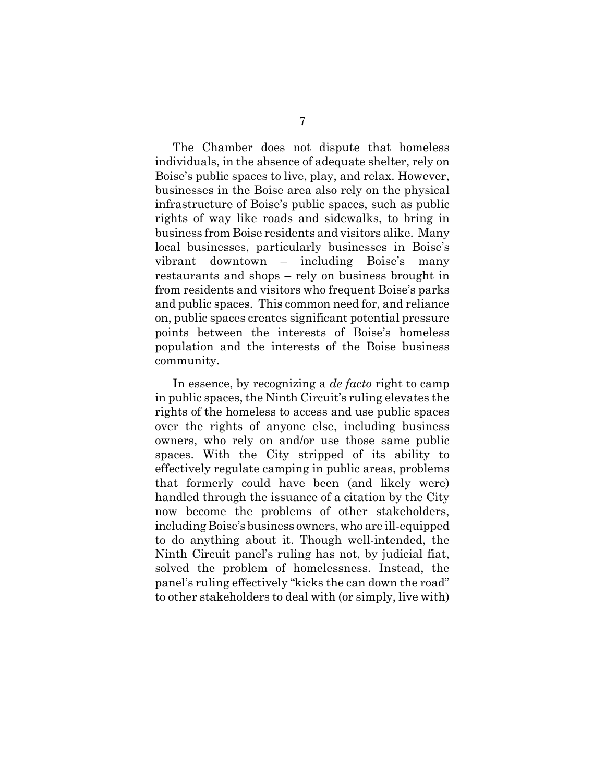The Chamber does not dispute that homeless individuals, in the absence of adequate shelter, rely on Boise's public spaces to live, play, and relax. However, businesses in the Boise area also rely on the physical infrastructure of Boise's public spaces, such as public rights of way like roads and sidewalks, to bring in business from Boise residents and visitors alike. Many local businesses, particularly businesses in Boise's vibrant downtown – including Boise's many restaurants and shops – rely on business brought in from residents and visitors who frequent Boise's parks and public spaces. This common need for, and reliance on, public spaces creates significant potential pressure points between the interests of Boise's homeless population and the interests of the Boise business community.

In essence, by recognizing a *de facto* right to camp in public spaces, the Ninth Circuit's ruling elevates the rights of the homeless to access and use public spaces over the rights of anyone else, including business owners, who rely on and/or use those same public spaces. With the City stripped of its ability to effectively regulate camping in public areas, problems that formerly could have been (and likely were) handled through the issuance of a citation by the City now become the problems of other stakeholders, including Boise's business owners, who are ill-equipped to do anything about it. Though well-intended, the Ninth Circuit panel's ruling has not, by judicial fiat, solved the problem of homelessness. Instead, the panel's ruling effectively "kicks the can down the road" to other stakeholders to deal with (or simply, live with)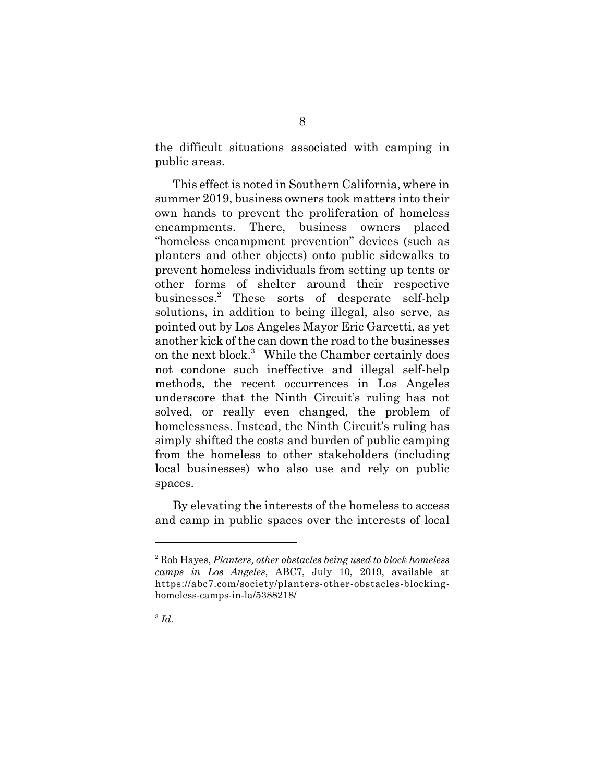the difficult situations associated with camping in public areas.

This effect is noted in Southern California, where in summer 2019, business owners took matters into their own hands to prevent the proliferation of homeless encampments. There, business owners placed "homeless encampment prevention" devices (such as planters and other objects) onto public sidewalks to prevent homeless individuals from setting up tents or other forms of shelter around their respective businesses.2 These sorts of desperate self-help solutions, in addition to being illegal, also serve, as pointed out by Los Angeles Mayor Eric Garcetti, as yet another kick of the can down the road to the businesses on the next block.<sup>3</sup> While the Chamber certainly does not condone such ineffective and illegal self-help methods, the recent occurrences in Los Angeles underscore that the Ninth Circuit's ruling has not solved, or really even changed, the problem of homelessness. Instead, the Ninth Circuit's ruling has simply shifted the costs and burden of public camping from the homeless to other stakeholders (including local businesses) who also use and rely on public spaces.

By elevating the interests of the homeless to access and camp in public spaces over the interests of local

<sup>3</sup> *Id.* 

<sup>2</sup> Rob Hayes, *Planters, other obstacles being used to block homeless camps in Los Angeles*, ABC7, July 10, 2019, available at https://abc7.com/society/planters-other-obstacles-blockinghomeless-camps-in-la/5388218/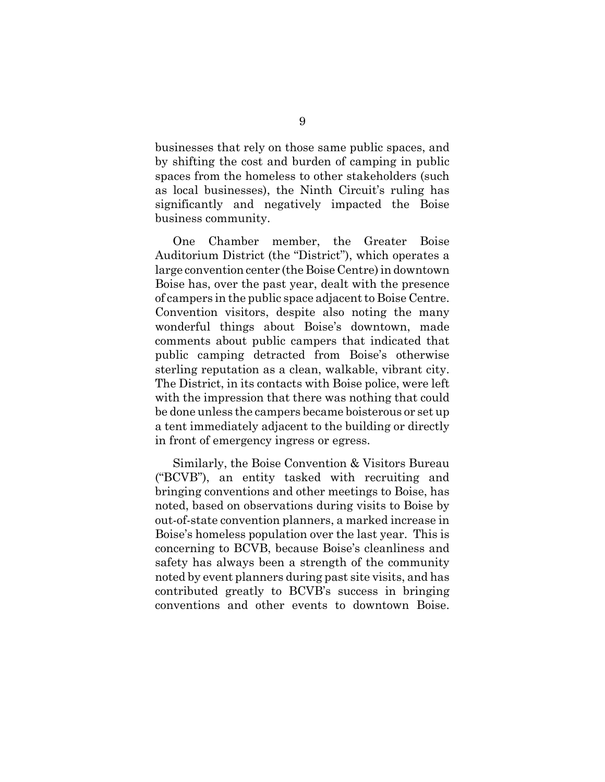businesses that rely on those same public spaces, and by shifting the cost and burden of camping in public spaces from the homeless to other stakeholders (such as local businesses), the Ninth Circuit's ruling has significantly and negatively impacted the Boise business community.

One Chamber member, the Greater Boise Auditorium District (the "District"), which operates a large convention center (the Boise Centre) in downtown Boise has, over the past year, dealt with the presence of campers in the public space adjacent to Boise Centre. Convention visitors, despite also noting the many wonderful things about Boise's downtown, made comments about public campers that indicated that public camping detracted from Boise's otherwise sterling reputation as a clean, walkable, vibrant city. The District, in its contacts with Boise police, were left with the impression that there was nothing that could be done unless the campers became boisterous or set up a tent immediately adjacent to the building or directly in front of emergency ingress or egress.

Similarly, the Boise Convention & Visitors Bureau ("BCVB"), an entity tasked with recruiting and bringing conventions and other meetings to Boise, has noted, based on observations during visits to Boise by out-of-state convention planners, a marked increase in Boise's homeless population over the last year. This is concerning to BCVB, because Boise's cleanliness and safety has always been a strength of the community noted by event planners during past site visits, and has contributed greatly to BCVB's success in bringing conventions and other events to downtown Boise.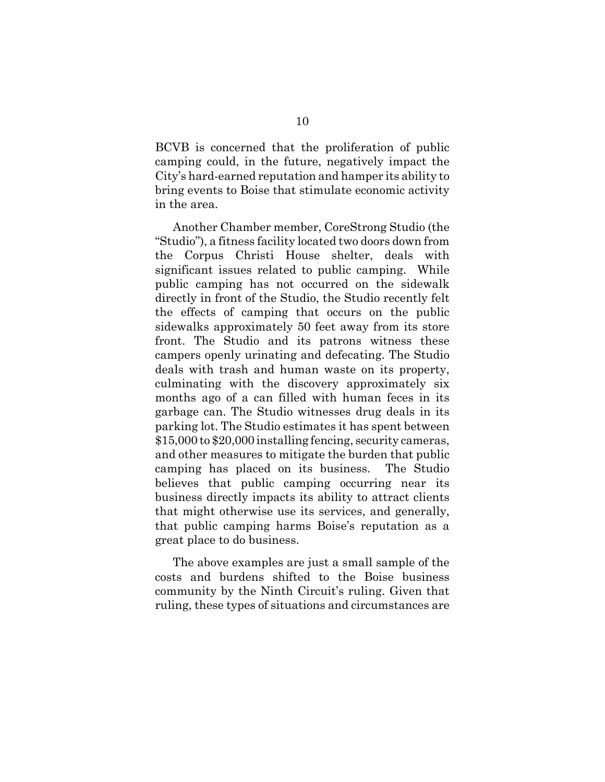BCVB is concerned that the proliferation of public camping could, in the future, negatively impact the City's hard-earned reputation and hamper its ability to bring events to Boise that stimulate economic activity in the area.

Another Chamber member, CoreStrong Studio (the "Studio"), a fitness facility located two doors down from the Corpus Christi House shelter, deals with significant issues related to public camping. While public camping has not occurred on the sidewalk directly in front of the Studio, the Studio recently felt the effects of camping that occurs on the public sidewalks approximately 50 feet away from its store front. The Studio and its patrons witness these campers openly urinating and defecating. The Studio deals with trash and human waste on its property, culminating with the discovery approximately six months ago of a can filled with human feces in its garbage can. The Studio witnesses drug deals in its parking lot. The Studio estimates it has spent between \$15,000 to \$20,000 installing fencing, security cameras, and other measures to mitigate the burden that public camping has placed on its business. The Studio believes that public camping occurring near its business directly impacts its ability to attract clients that might otherwise use its services, and generally, that public camping harms Boise's reputation as a great place to do business.

The above examples are just a small sample of the costs and burdens shifted to the Boise business community by the Ninth Circuit's ruling. Given that ruling, these types of situations and circumstances are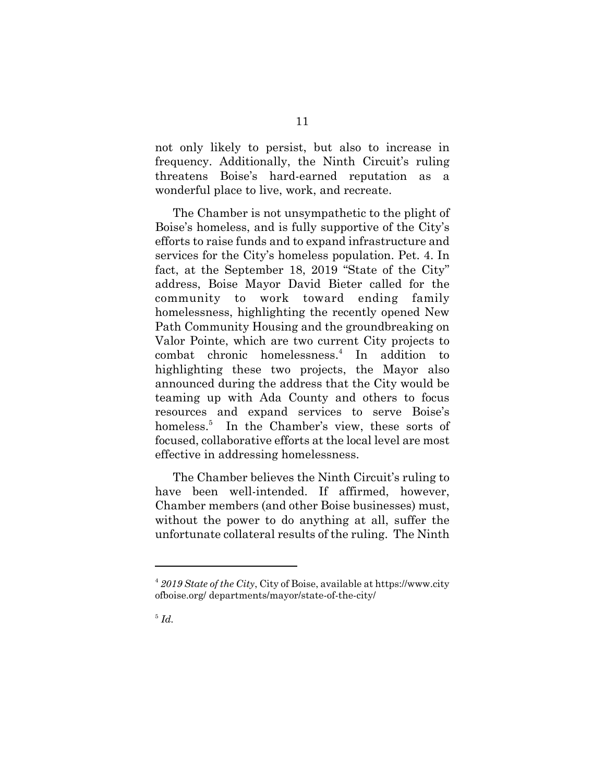not only likely to persist, but also to increase in frequency. Additionally, the Ninth Circuit's ruling threatens Boise's hard-earned reputation as a wonderful place to live, work, and recreate.

The Chamber is not unsympathetic to the plight of Boise's homeless, and is fully supportive of the City's efforts to raise funds and to expand infrastructure and services for the City's homeless population. Pet. 4. In fact, at the September 18, 2019 "State of the City" address, Boise Mayor David Bieter called for the community to work toward ending family homelessness, highlighting the recently opened New Path Community Housing and the groundbreaking on Valor Pointe, which are two current City projects to combat chronic homelessness.<sup>4</sup> In addition to highlighting these two projects, the Mayor also announced during the address that the City would be teaming up with Ada County and others to focus resources and expand services to serve Boise's homeless.<sup>5</sup> In the Chamber's view, these sorts of focused, collaborative efforts at the local level are most effective in addressing homelessness.

The Chamber believes the Ninth Circuit's ruling to have been well-intended. If affirmed, however, Chamber members (and other Boise businesses) must, without the power to do anything at all, suffer the unfortunate collateral results of the ruling. The Ninth

<sup>4</sup> *2019 State of the City*, City of Boise, available at https://www.city ofboise.org/ departments/mayor/state-of-the-city/